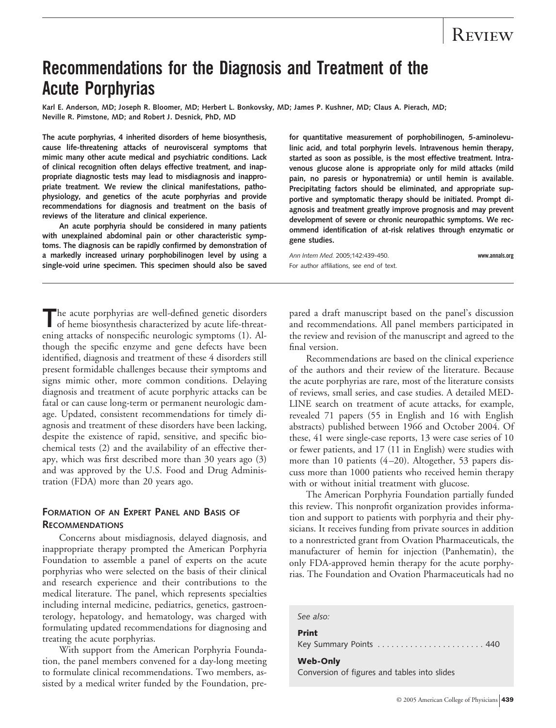# **Recommendations for the Diagnosis and Treatment of the Acute Porphyrias**

**Karl E. Anderson, MD; Joseph R. Bloomer, MD; Herbert L. Bonkovsky, MD; James P. Kushner, MD; Claus A. Pierach, MD; Neville R. Pimstone, MD; and Robert J. Desnick, PhD, MD**

**The acute porphyrias, 4 inherited disorders of heme biosynthesis, cause life-threatening attacks of neurovisceral symptoms that mimic many other acute medical and psychiatric conditions. Lack of clinical recognition often delays effective treatment, and inappropriate diagnostic tests may lead to misdiagnosis and inappropriate treatment. We review the clinical manifestations, pathophysiology, and genetics of the acute porphyrias and provide recommendations for diagnosis and treatment on the basis of reviews of the literature and clinical experience.**

**An acute porphyria should be considered in many patients with unexplained abdominal pain or other characteristic symptoms. The diagnosis can be rapidly confirmed by demonstration of a markedly increased urinary porphobilinogen level by using a single-void urine specimen. This specimen should also be saved** **for quantitative measurement of porphobilinogen, 5-aminolevulinic acid, and total porphyrin levels. Intravenous hemin therapy, started as soon as possible, is the most effective treatment. Intravenous glucose alone is appropriate only for mild attacks (mild pain, no paresis or hyponatremia) or until hemin is available. Precipitating factors should be eliminated, and appropriate supportive and symptomatic therapy should be initiated. Prompt diagnosis and treatment greatly improve prognosis and may prevent development of severe or chronic neuropathic symptoms. We recommend identification of at-risk relatives through enzymatic or gene studies.**

*Ann Intern Med.* 2005;142:439-450. **www.annals.org** For author affiliations, see end of text.

The acute porphyrias are well-defined genetic disorders<br>of heme biosynthesis characterized by acute life-threatening attacks of nonspecific neurologic symptoms (1). Although the specific enzyme and gene defects have been identified, diagnosis and treatment of these 4 disorders still present formidable challenges because their symptoms and signs mimic other, more common conditions. Delaying diagnosis and treatment of acute porphyric attacks can be fatal or can cause long-term or permanent neurologic damage. Updated, consistent recommendations for timely diagnosis and treatment of these disorders have been lacking, despite the existence of rapid, sensitive, and specific biochemical tests (2) and the availability of an effective therapy, which was first described more than 30 years ago (3) and was approved by the U.S. Food and Drug Administration (FDA) more than 20 years ago.

# **FORMATION OF AN EXPERT PANEL AND BASIS OF RECOMMENDATIONS**

Concerns about misdiagnosis, delayed diagnosis, and inappropriate therapy prompted the American Porphyria Foundation to assemble a panel of experts on the acute porphyrias who were selected on the basis of their clinical and research experience and their contributions to the medical literature. The panel, which represents specialties including internal medicine, pediatrics, genetics, gastroenterology, hepatology, and hematology, was charged with formulating updated recommendations for diagnosing and treating the acute porphyrias.

With support from the American Porphyria Foundation, the panel members convened for a day-long meeting to formulate clinical recommendations. Two members, assisted by a medical writer funded by the Foundation, prepared a draft manuscript based on the panel's discussion and recommendations. All panel members participated in the review and revision of the manuscript and agreed to the final version.

Recommendations are based on the clinical experience of the authors and their review of the literature. Because the acute porphyrias are rare, most of the literature consists of reviews, small series, and case studies. A detailed MED-LINE search on treatment of acute attacks, for example, revealed 71 papers (55 in English and 16 with English abstracts) published between 1966 and October 2004. Of these, 41 were single-case reports, 13 were case series of 10 or fewer patients, and 17 (11 in English) were studies with more than 10 patients (4-20). Altogether, 53 papers discuss more than 1000 patients who received hemin therapy with or without initial treatment with glucose.

The American Porphyria Foundation partially funded this review. This nonprofit organization provides information and support to patients with porphyria and their physicians. It receives funding from private sources in addition to a nonrestricted grant from Ovation Pharmaceuticals, the manufacturer of hemin for injection (Panhematin), the only FDA-approved hemin therapy for the acute porphyrias. The Foundation and Ovation Pharmaceuticals had no

*See also:*

#### **Print** Key Summary Points . . . . . . . . . . . . . . . . . . . . . . . 440

#### **Web-Only**

Conversion of figures and tables into slides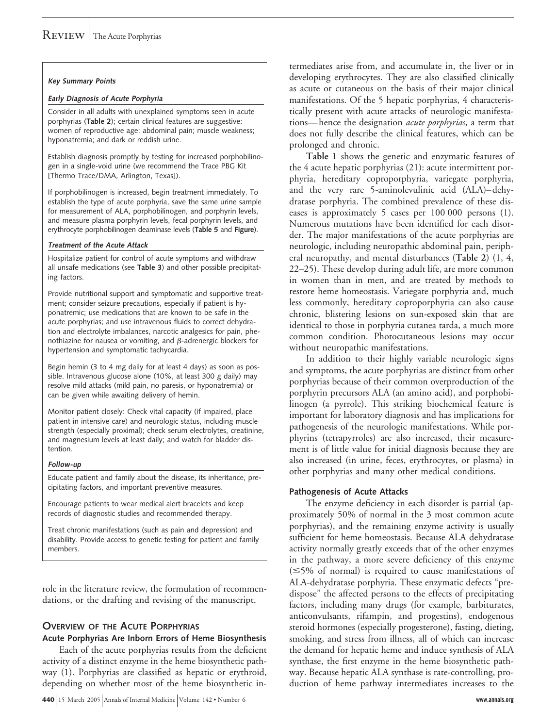#### **Key Summary Points**

#### **Early Diagnosis of Acute Porphyria**

Consider in all adults with unexplained symptoms seen in acute porphyrias (**Table 2**); certain clinical features are suggestive: women of reproductive age; abdominal pain; muscle weakness; hyponatremia; and dark or reddish urine.

Establish diagnosis promptly by testing for increased porphobilinogen in a single-void urine (we recommend the Trace PBG Kit [Thermo Trace/DMA, Arlington, Texas]).

If porphobilinogen is increased, begin treatment immediately. To establish the type of acute porphyria, save the same urine sample for measurement of ALA, porphobilinogen, and porphyrin levels, and measure plasma porphyrin levels, fecal porphyrin levels, and erythrocyte porphobilinogen deaminase levels (**Table 5** and **Figure**).

#### **Treatment of the Acute Attack**

Hospitalize patient for control of acute symptoms and withdraw all unsafe medications (see **Table 3**) and other possible precipitating factors.

Provide nutritional support and symptomatic and supportive treatment; consider seizure precautions, especially if patient is hyponatremic; use medications that are known to be safe in the acute porphyrias; and use intravenous fluids to correct dehydration and electrolyte imbalances, narcotic analgesics for pain, phenothiazine for nausea or vomiting, and  $\beta$ -adrenergic blockers for hypertension and symptomatic tachycardia.

Begin hemin (3 to 4 mg daily for at least 4 days) as soon as possible. Intravenous glucose alone (10%, at least 300 g daily) may resolve mild attacks (mild pain, no paresis, or hyponatremia) or can be given while awaiting delivery of hemin.

Monitor patient closely: Check vital capacity (if impaired, place patient in intensive care) and neurologic status, including muscle strength (especially proximal); check serum electrolytes, creatinine, and magnesium levels at least daily; and watch for bladder distention.

#### **Follow-up**

Educate patient and family about the disease, its inheritance, precipitating factors, and important preventive measures.

Encourage patients to wear medical alert bracelets and keep records of diagnostic studies and recommended therapy.

Treat chronic manifestations (such as pain and depression) and disability. Provide access to genetic testing for patient and family members.

role in the literature review, the formulation of recommendations, or the drafting and revising of the manuscript.

# **OVERVIEW OF THE ACUTE PORPHYRIAS**

**Acute Porphyrias Are Inborn Errors of Heme Biosynthesis**

Each of the acute porphyrias results from the deficient activity of a distinct enzyme in the heme biosynthetic pathway (1). Porphyrias are classified as hepatic or erythroid, depending on whether most of the heme biosynthetic in-

**440** 15 March 2005 Annals of Internal Medicine Volume 142 • Number 6 **www.annals.org**

termediates arise from, and accumulate in, the liver or in developing erythrocytes. They are also classified clinically as acute or cutaneous on the basis of their major clinical manifestations. Of the 5 hepatic porphyrias, 4 characteristically present with acute attacks of neurologic manifestations— hence the designation *acute porphyrias*, a term that does not fully describe the clinical features, which can be prolonged and chronic.

**Table 1** shows the genetic and enzymatic features of the 4 acute hepatic porphyrias (21): acute intermittent porphyria, hereditary coproporphyria, variegate porphyria, and the very rare 5-aminolevulinic acid (ALA)– dehydratase porphyria. The combined prevalence of these diseases is approximately 5 cases per 100 000 persons (1). Numerous mutations have been identified for each disorder. The major manifestations of the acute porphyrias are neurologic, including neuropathic abdominal pain, peripheral neuropathy, and mental disturbances (**Table 2**) (1, 4, 22–25). These develop during adult life, are more common in women than in men, and are treated by methods to restore heme homeostasis. Variegate porphyria and, much less commonly, hereditary coproporphyria can also cause chronic, blistering lesions on sun-exposed skin that are identical to those in porphyria cutanea tarda, a much more common condition. Photocutaneous lesions may occur without neuropathic manifestations.

In addition to their highly variable neurologic signs and symptoms, the acute porphyrias are distinct from other porphyrias because of their common overproduction of the porphyrin precursors ALA (an amino acid), and porphobilinogen (a pyrrole). This striking biochemical feature is important for laboratory diagnosis and has implications for pathogenesis of the neurologic manifestations. While porphyrins (tetrapyrroles) are also increased, their measurement is of little value for initial diagnosis because they are also increased (in urine, feces, erythrocytes, or plasma) in other porphyrias and many other medical conditions.

# **Pathogenesis of Acute Attacks**

The enzyme deficiency in each disorder is partial (approximately 50% of normal in the 3 most common acute porphyrias), and the remaining enzyme activity is usually sufficient for heme homeostasis. Because ALA dehydratase activity normally greatly exceeds that of the other enzymes in the pathway, a more severe deficiency of this enzyme  $(\leq 5\%$  of normal) is required to cause manifestations of ALA-dehydratase porphyria. These enzymatic defects "predispose" the affected persons to the effects of precipitating factors, including many drugs (for example, barbiturates, anticonvulsants, rifampin, and progestins), endogenous steroid hormones (especially progesterone), fasting, dieting, smoking, and stress from illness, all of which can increase the demand for hepatic heme and induce synthesis of ALA synthase, the first enzyme in the heme biosynthetic pathway. Because hepatic ALA synthase is rate-controlling, production of heme pathway intermediates increases to the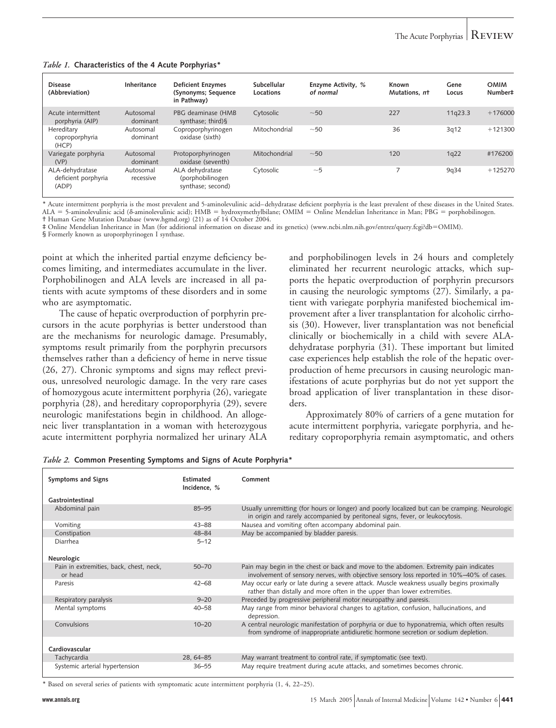#### *Table 1.* **Characteristics of the 4 Acute Porphyrias\***

| <b>Disease</b><br>(Abbreviation)                | Inheritance            | <b>Deficient Enzymes</b><br>(Synonyms; Sequence<br>in Pathway) | Subcellular<br>Locations | Enzyme Activity, %<br>of normal | Known<br>Mutations. nt | Gene<br>Locus | <b>OMIM</b><br>Number# |
|-------------------------------------------------|------------------------|----------------------------------------------------------------|--------------------------|---------------------------------|------------------------|---------------|------------------------|
| Acute intermittent<br>porphyria (AIP)           | Autosomal<br>dominant  | PBG deaminase (HMB<br>synthase; third)§                        | Cytosolic                | $~1$ –50                        | 227                    | 11g23.3       | $+176000$              |
| Hereditary<br>coproporphyria<br>(HCP)           | Autosomal<br>dominant  | Coproporphyrinogen<br>oxidase (sixth)                          | Mitochondrial            | $-50$                           | 36                     | 3q12          | $+121300$              |
| Variegate porphyria<br>(VP)                     | Autosomal<br>dominant  | Protoporphyrinogen<br>oxidase (seventh)                        | Mitochondrial            | $~1$ –50                        | 120                    | 1q22          | #176200                |
| ALA-dehydratase<br>deficient porphyria<br>(ADP) | Autosomal<br>recessive | ALA dehydratase<br>(porphobilinogen<br>synthase; second)       | Cytosolic                | ~1                              | 7                      | 9q34          | $+125270$              |

\* Acute intermittent porphyria is the most prevalent and 5-aminolevulinic acid–dehydratase deficient porphyria is the least prevalent of these diseases in the United States.<br>ALA = 5-aminolevulinic acid (δ-aminolevulinic ac

† Human Gene Mutation Database (www.hgmd.org) (21) as of 14 October 2004. ‡ Online Mendelian Inheritance in Man (for additional information on disease and its genetics) (www.ncbi.nlm.nih.gov/entrez/query.fcgi?db=OMIM).

§ Formerly known as uroporphyrinogen I synthase.

point at which the inherited partial enzyme deficiency becomes limiting, and intermediates accumulate in the liver. Porphobilinogen and ALA levels are increased in all patients with acute symptoms of these disorders and in some who are asymptomatic.

The cause of hepatic overproduction of porphyrin precursors in the acute porphyrias is better understood than are the mechanisms for neurologic damage. Presumably, symptoms result primarily from the porphyrin precursors themselves rather than a deficiency of heme in nerve tissue (26, 27). Chronic symptoms and signs may reflect previous, unresolved neurologic damage. In the very rare cases of homozygous acute intermittent porphyria (26), variegate porphyria (28), and hereditary coproporphyria (29), severe neurologic manifestations begin in childhood. An allogeneic liver transplantation in a woman with heterozygous acute intermittent porphyria normalized her urinary ALA

and porphobilinogen levels in 24 hours and completely eliminated her recurrent neurologic attacks, which supports the hepatic overproduction of porphyrin precursors in causing the neurologic symptoms (27). Similarly, a patient with variegate porphyria manifested biochemical improvement after a liver transplantation for alcoholic cirrhosis (30). However, liver transplantation was not beneficial clinically or biochemically in a child with severe ALAdehydratase porphyria (31). These important but limited case experiences help establish the role of the hepatic overproduction of heme precursors in causing neurologic manifestations of acute porphyrias but do not yet support the broad application of liver transplantation in these disorders.

Approximately 80% of carriers of a gene mutation for acute intermittent porphyria, variegate porphyria, and hereditary coproporphyria remain asymptomatic, and others

|  |  |  |  | Table 2. Common Presenting Symptoms and Signs of Acute Porphyria* |  |  |
|--|--|--|--|-------------------------------------------------------------------|--|--|
|--|--|--|--|-------------------------------------------------------------------|--|--|

| Symptoms and Signs                                 | Estimated<br>Incidence. % | Comment                                                                                                                                                                           |
|----------------------------------------------------|---------------------------|-----------------------------------------------------------------------------------------------------------------------------------------------------------------------------------|
| Gastrointestinal                                   |                           |                                                                                                                                                                                   |
| Abdominal pain                                     | $85 - 95$                 | Usually unremitting (for hours or longer) and poorly localized but can be cramping. Neurologic<br>in origin and rarely accompanied by peritoneal signs, fever, or leukocytosis.   |
| Vomiting                                           | $43 - 88$                 | Nausea and vomiting often accompany abdominal pain.                                                                                                                               |
| Constipation                                       | $48 - 84$                 | May be accompanied by bladder paresis.                                                                                                                                            |
| Diarrhea                                           | $5 - 12$                  |                                                                                                                                                                                   |
| Neurologic                                         |                           |                                                                                                                                                                                   |
| Pain in extremities, back, chest, neck,<br>or head | $50 - 70$                 | Pain may begin in the chest or back and move to the abdomen. Extremity pain indicates<br>involvement of sensory nerves, with objective sensory loss reported in 10%-40% of cases. |
| Paresis                                            | $42 - 68$                 | May occur early or late during a severe attack. Muscle weakness usually begins proximally<br>rather than distally and more often in the upper than lower extremities.             |
| Respiratory paralysis                              | $9 - 20$                  | Preceded by progressive peripheral motor neuropathy and paresis.                                                                                                                  |
| Mental symptoms                                    | $40 - 58$                 | May range from minor behavioral changes to agitation, confusion, hallucinations, and<br>depression.                                                                               |
| Convulsions                                        | $10 - 20$                 | A central neurologic manifestation of porphyria or due to hyponatremia, which often results<br>from syndrome of inappropriate antidiuretic hormone secretion or sodium depletion. |
| Cardiovascular                                     |                           |                                                                                                                                                                                   |
| Tachycardia                                        | 28, 64-85                 | May warrant treatment to control rate, if symptomatic (see text).                                                                                                                 |
| Systemic arterial hypertension                     | $36 - 55$                 | May require treatment during acute attacks, and sometimes becomes chronic.                                                                                                        |

\* Based on several series of patients with symptomatic acute intermittent porphyria (1, 4, 22–25).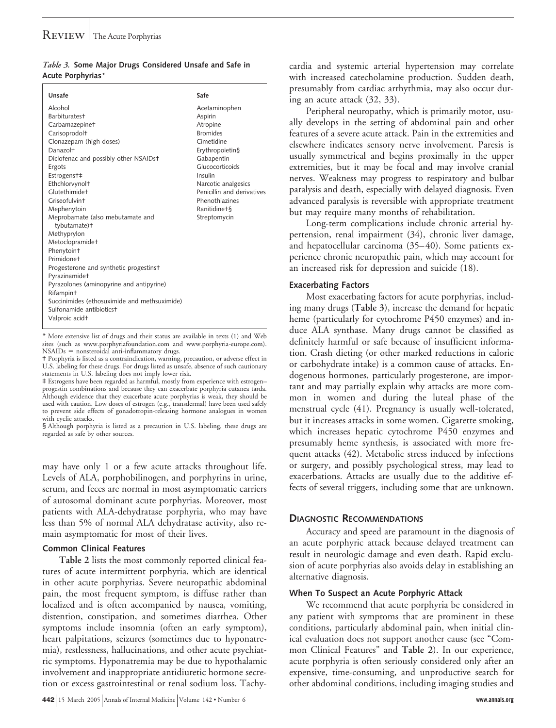# Review The Acute Porphyrias

|                   |  | <i>Table 3.</i> Some Major Drugs Considered Unsafe and Safe in |  |  |
|-------------------|--|----------------------------------------------------------------|--|--|
| Acute Porphyrias* |  |                                                                |  |  |

| Unsafe                                                                                                                                                                                                                                                                                                     | Safe                                                                                                                          |
|------------------------------------------------------------------------------------------------------------------------------------------------------------------------------------------------------------------------------------------------------------------------------------------------------------|-------------------------------------------------------------------------------------------------------------------------------|
| Alcohol<br><b>Barbituratest</b><br>Carbamazepinet<br>Carisoprodolt<br>Clonazepam (high doses)<br>Danazolt                                                                                                                                                                                                  | Acetaminophen<br>Aspirin<br>Atropine<br><b>Bromides</b><br>Cimetidine<br>Erythropoietin§<br>Gabapentin                        |
| Diclofenac and possibly other NSAIDst<br>Ergots<br>Estrogens+‡<br>Ethchlorvynolt<br>Glutethimide+<br>Griseofulvin+<br>Mephenytoin                                                                                                                                                                          | Glucocorticoids<br>Insulin<br>Narcotic analgesics<br>Penicillin and derivatives<br>Phenothiazines<br>Ranitidine <sup>+§</sup> |
| Meprobamate (also mebutamate and<br>tybutamate)+<br>Methyprylon<br>Metoclopramide+<br>Phenytoint<br>Primidone <sup>+</sup><br>Progesterone and synthetic progestinst<br>Pyrazinamide <sup>+</sup><br>Pyrazolones (aminopyrine and antipyrine)<br>Rifampint<br>Succinimides (ethosuximide and methsuximide) | Streptomycin                                                                                                                  |
| Sulfonamide antibioticst<br>Valproic acid+                                                                                                                                                                                                                                                                 |                                                                                                                               |

\* More extensive list of drugs and their status are available in texts (1) and Web sites (such as www.porphyriafoundation.com and www.porphyria-europe.com).  $NSAIDs = nonsteroidal$  anti-inflammatory drugs.

† Porphyria is listed as a contraindication, warning, precaution, or adverse effect in U.S. labeling for these drugs. For drugs listed as unsafe, absence of such cautionary statements in U.S. labeling does not imply lower risk.

‡ Estrogens have been regarded as harmful, mostly from experience with estrogen– progestin combinations and because they can exacerbate porphyria cutanea tarda. Although evidence that they exacerbate acute porphyrias is weak, they should be used with caution. Low doses of estrogen (e.g., transdermal) have been used safely to prevent side effects of gonadotropin-releasing hormone analogues in women with cyclic attacks.

§ Although porphyria is listed as a precaution in U.S. labeling, these drugs are regarded as safe by other sources.

may have only 1 or a few acute attacks throughout life. Levels of ALA, porphobilinogen, and porphyrins in urine, serum, and feces are normal in most asymptomatic carriers of autosomal dominant acute porphyrias. Moreover, most patients with ALA-dehydratase porphyria, who may have less than 5% of normal ALA dehydratase activity, also remain asymptomatic for most of their lives.

# **Common Clinical Features**

**Table 2** lists the most commonly reported clinical features of acute intermittent porphyria, which are identical in other acute porphyrias. Severe neuropathic abdominal pain, the most frequent symptom, is diffuse rather than localized and is often accompanied by nausea, vomiting, distention, constipation, and sometimes diarrhea. Other symptoms include insomnia (often an early symptom), heart palpitations, seizures (sometimes due to hyponatremia), restlessness, hallucinations, and other acute psychiatric symptoms. Hyponatremia may be due to hypothalamic involvement and inappropriate antidiuretic hormone secretion or excess gastrointestinal or renal sodium loss. Tachy-

**442** 15 March 2005 Annals of Internal Medicine Volume 142 • Number 6 **www.annals.org**

cardia and systemic arterial hypertension may correlate with increased catecholamine production. Sudden death, presumably from cardiac arrhythmia, may also occur during an acute attack (32, 33).

Peripheral neuropathy, which is primarily motor, usually develops in the setting of abdominal pain and other features of a severe acute attack. Pain in the extremities and elsewhere indicates sensory nerve involvement. Paresis is usually symmetrical and begins proximally in the upper extremities, but it may be focal and may involve cranial nerves. Weakness may progress to respiratory and bulbar paralysis and death, especially with delayed diagnosis. Even advanced paralysis is reversible with appropriate treatment but may require many months of rehabilitation.

Long-term complications include chronic arterial hypertension, renal impairment (34), chronic liver damage, and hepatocellular carcinoma (35–40). Some patients experience chronic neuropathic pain, which may account for an increased risk for depression and suicide (18).

#### **Exacerbating Factors**

Most exacerbating factors for acute porphyrias, including many drugs (**Table 3**), increase the demand for hepatic heme (particularly for cytochrome P450 enzymes) and induce ALA synthase. Many drugs cannot be classified as definitely harmful or safe because of insufficient information. Crash dieting (or other marked reductions in caloric or carbohydrate intake) is a common cause of attacks. Endogenous hormones, particularly progesterone, are important and may partially explain why attacks are more common in women and during the luteal phase of the menstrual cycle (41). Pregnancy is usually well-tolerated, but it increases attacks in some women. Cigarette smoking, which increases hepatic cytochrome P450 enzymes and presumably heme synthesis, is associated with more frequent attacks (42). Metabolic stress induced by infections or surgery, and possibly psychological stress, may lead to exacerbations. Attacks are usually due to the additive effects of several triggers, including some that are unknown.

# **DIAGNOSTIC RECOMMENDATIONS**

Accuracy and speed are paramount in the diagnosis of an acute porphyric attack because delayed treatment can result in neurologic damage and even death. Rapid exclusion of acute porphyrias also avoids delay in establishing an alternative diagnosis.

#### **When To Suspect an Acute Porphyric Attack**

We recommend that acute porphyria be considered in any patient with symptoms that are prominent in these conditions, particularly abdominal pain, when initial clinical evaluation does not support another cause (see "Common Clinical Features" and **Table 2**). In our experience, acute porphyria is often seriously considered only after an expensive, time-consuming, and unproductive search for other abdominal conditions, including imaging studies and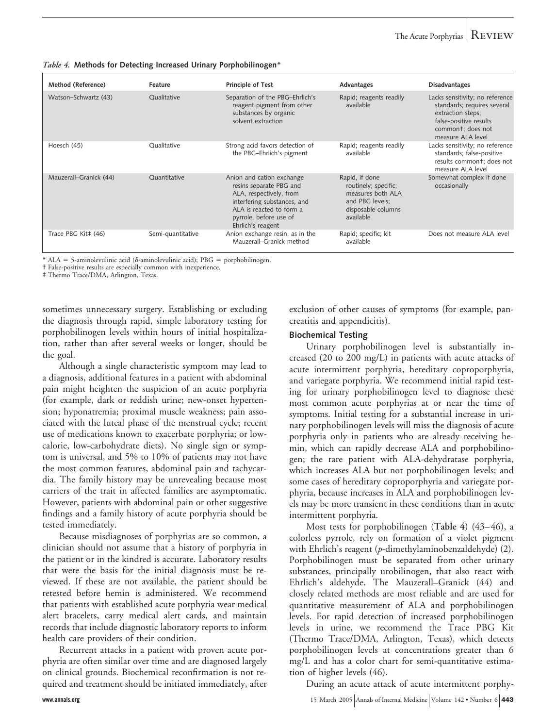*Table 4.* **Methods for Detecting Increased Urinary Porphobilinogen**\*

| Method (Reference)     | Feature           | Principle of Test                                                                                                                                                                         | Advantages                                                                                                        | <b>Disadvantages</b>                                                                                                                                    |
|------------------------|-------------------|-------------------------------------------------------------------------------------------------------------------------------------------------------------------------------------------|-------------------------------------------------------------------------------------------------------------------|---------------------------------------------------------------------------------------------------------------------------------------------------------|
| Watson-Schwartz (43)   | Qualitative       | Separation of the PBG-Ehrlich's<br>reagent pigment from other<br>substances by organic<br>solvent extraction                                                                              | Rapid; reagents readily<br>available                                                                              | Lacks sensitivity; no reference<br>standards; requires several<br>extraction steps;<br>false-positive results<br>commont; does not<br>measure ALA level |
| Hoesch (45)            | Qualitative       | Strong acid favors detection of<br>the PBG-Ehrlich's pigment                                                                                                                              | Rapid; reagents readily<br>available                                                                              | Lacks sensitivity; no reference<br>standards; false-positive<br>results commont; does not<br>measure ALA level                                          |
| Mauzerall-Granick (44) | Quantitative      | Anion and cation exchange<br>resins separate PBG and<br>ALA, respectively, from<br>interfering substances, and<br>ALA is reacted to form a<br>pyrrole, before use of<br>Ehrlich's reagent | Rapid, if done<br>routinely; specific;<br>measures both ALA<br>and PBG levels;<br>disposable columns<br>available | Somewhat complex if done<br>occasionally                                                                                                                |
| Trace PBG Kit‡ (46)    | Semi-quantitative | Anion exchange resin, as in the<br>Mauzerall-Granick method                                                                                                                               | Rapid; specific; kit<br>available                                                                                 | Does not measure ALA level                                                                                                                              |

\* ALA = 5-aminolevulinic acid ( $\delta$ -aminolevulinic acid); PBG = porphobilinogen.

† False-positive results are especially common with inexperience.

‡ Thermo Trace/DMA, Arlington, Texas.

sometimes unnecessary surgery. Establishing or excluding the diagnosis through rapid, simple laboratory testing for porphobilinogen levels within hours of initial hospitalization, rather than after several weeks or longer, should be the goal.

Although a single characteristic symptom may lead to a diagnosis, additional features in a patient with abdominal pain might heighten the suspicion of an acute porphyria (for example, dark or reddish urine; new-onset hypertension; hyponatremia; proximal muscle weakness; pain associated with the luteal phase of the menstrual cycle; recent use of medications known to exacerbate porphyria; or lowcalorie, low-carbohydrate diets). No single sign or symptom is universal, and 5% to 10% of patients may not have the most common features, abdominal pain and tachycardia. The family history may be unrevealing because most carriers of the trait in affected families are asymptomatic. However, patients with abdominal pain or other suggestive findings and a family history of acute porphyria should be tested immediately.

Because misdiagnoses of porphyrias are so common, a clinician should not assume that a history of porphyria in the patient or in the kindred is accurate. Laboratory results that were the basis for the initial diagnosis must be reviewed. If these are not available, the patient should be retested before hemin is administered. We recommend that patients with established acute porphyria wear medical alert bracelets, carry medical alert cards, and maintain records that include diagnostic laboratory reports to inform health care providers of their condition.

Recurrent attacks in a patient with proven acute porphyria are often similar over time and are diagnosed largely on clinical grounds. Biochemical reconfirmation is not required and treatment should be initiated immediately, after exclusion of other causes of symptoms (for example, pancreatitis and appendicitis).

#### **Biochemical Testing**

Urinary porphobilinogen level is substantially increased (20 to 200 mg/L) in patients with acute attacks of acute intermittent porphyria, hereditary coproporphyria, and variegate porphyria. We recommend initial rapid testing for urinary porphobilinogen level to diagnose these most common acute porphyrias at or near the time of symptoms. Initial testing for a substantial increase in urinary porphobilinogen levels will miss the diagnosis of acute porphyria only in patients who are already receiving hemin, which can rapidly decrease ALA and porphobilinogen; the rare patient with ALA-dehydratase porphyria, which increases ALA but not porphobilinogen levels; and some cases of hereditary coproporphyria and variegate porphyria, because increases in ALA and porphobilinogen levels may be more transient in these conditions than in acute intermittent porphyria.

Most tests for porphobilinogen (Table 4) (43–46), a colorless pyrrole, rely on formation of a violet pigment with Ehrlich's reagent (*p*-dimethylaminobenzaldehyde) (2). Porphobilinogen must be separated from other urinary substances, principally urobilinogen, that also react with Ehrlich's aldehyde. The Mauzerall–Granick (44) and closely related methods are most reliable and are used for quantitative measurement of ALA and porphobilinogen levels. For rapid detection of increased porphobilinogen levels in urine, we recommend the Trace PBG Kit (Thermo Trace/DMA, Arlington, Texas), which detects porphobilinogen levels at concentrations greater than 6 mg/L and has a color chart for semi-quantitative estimation of higher levels (46).

During an acute attack of acute intermittent porphy-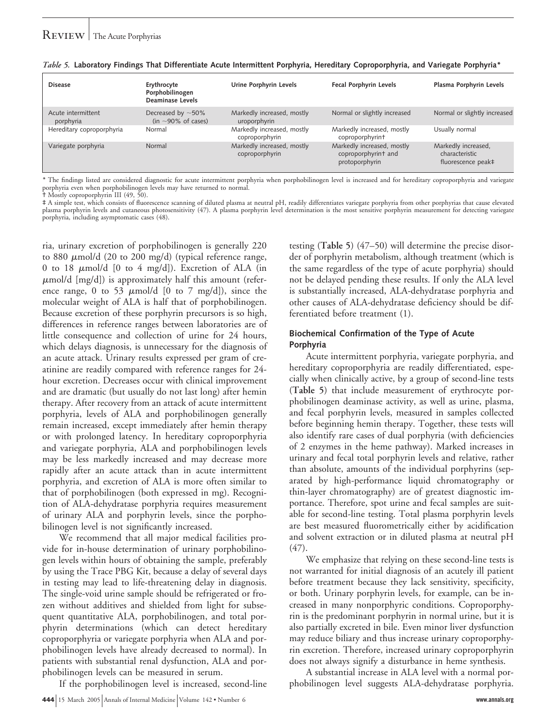# REVIEW | The Acute Porphyrias

| <b>Disease</b>                  | Erythrocyte<br>Porphobilinogen<br>Deaminase Levels  | Urine Porphyrin Levels                       | <b>Fecal Porphyrin Levels</b>                                       | Plasma Porphyrin Levels                                     |
|---------------------------------|-----------------------------------------------------|----------------------------------------------|---------------------------------------------------------------------|-------------------------------------------------------------|
| Acute intermittent<br>porphyria | Decreased by $\sim$ 50%<br>(in $\sim$ 90% of cases) | Markedly increased, mostly<br>uroporphyrin   | Normal or slightly increased                                        | Normal or slightly increased                                |
| Hereditary coproporphyria       | Normal                                              | Markedly increased, mostly<br>coproporphyrin | Markedly increased, mostly<br>coproporphyrint                       | Usually normal                                              |
| Variegate porphyria             | Normal                                              | Markedly increased, mostly<br>coproporphyrin | Markedly increased, mostly<br>coproporphyrint and<br>protoporphyrin | Markedly increased,<br>characteristic<br>fluorescence peak‡ |

| Table 5. Laboratory Findings That Differentiate Acute Intermittent Porphyria, Hereditary Coproporphyria, and Variegate Porphyria* |  |  |  |
|-----------------------------------------------------------------------------------------------------------------------------------|--|--|--|
|-----------------------------------------------------------------------------------------------------------------------------------|--|--|--|

\* The findings listed are considered diagnostic for acute intermittent porphyria when porphobilinogen level is increased and for hereditary coproporphyria and variegate porphyria even when porphobilinogen levels may have returned to normal. † Mostly coproporphyrin III (49, 50).

‡ A simple test, which consists of fluorescence scanning of diluted plasma at neutral pH, readily differentiates variegate porphyria from other porphyrias that cause elevated plasma porphyrin levels and cutaneous photosensitivity (47). A plasma porphyrin level determination is the most sensitive porphyrin measurement for detecting variegate porphyria, including asymptomatic cases (48).

ria, urinary excretion of porphobilinogen is generally 220 to 880  $\mu$ mol/d (20 to 200 mg/d) (typical reference range, 0 to 18  $\mu$ mol/d [0 to 4 mg/d]). Excretion of ALA (in  $\mu$ mol/d [mg/d]) is approximately half this amount (reference range, 0 to 53  $\mu$ mol/d [0 to 7 mg/d]), since the molecular weight of ALA is half that of porphobilinogen. Because excretion of these porphyrin precursors is so high, differences in reference ranges between laboratories are of little consequence and collection of urine for 24 hours, which delays diagnosis, is unnecessary for the diagnosis of an acute attack. Urinary results expressed per gram of creatinine are readily compared with reference ranges for 24 hour excretion. Decreases occur with clinical improvement and are dramatic (but usually do not last long) after hemin therapy. After recovery from an attack of acute intermittent porphyria, levels of ALA and porphobilinogen generally remain increased, except immediately after hemin therapy or with prolonged latency. In hereditary coproporphyria and variegate porphyria, ALA and porphobilinogen levels may be less markedly increased and may decrease more rapidly after an acute attack than in acute intermittent porphyria, and excretion of ALA is more often similar to that of porphobilinogen (both expressed in mg). Recognition of ALA-dehydratase porphyria requires measurement of urinary ALA and porphyrin levels, since the porphobilinogen level is not significantly increased.

We recommend that all major medical facilities provide for in-house determination of urinary porphobilinogen levels within hours of obtaining the sample, preferably by using the Trace PBG Kit, because a delay of several days in testing may lead to life-threatening delay in diagnosis. The single-void urine sample should be refrigerated or frozen without additives and shielded from light for subsequent quantitative ALA, porphobilinogen, and total porphyrin determinations (which can detect hereditary coproporphyria or variegate porphyria when ALA and porphobilinogen levels have already decreased to normal). In patients with substantial renal dysfunction, ALA and porphobilinogen levels can be measured in serum.

If the porphobilinogen level is increased, second-line

testing (**Table 5**) (47–50) will determine the precise disorder of porphyrin metabolism, although treatment (which is the same regardless of the type of acute porphyria) should not be delayed pending these results. If only the ALA level is substantially increased, ALA-dehydratase porphyria and other causes of ALA-dehydratase deficiency should be differentiated before treatment (1).

# **Biochemical Confirmation of the Type of Acute Porphyria**

Acute intermittent porphyria, variegate porphyria, and hereditary coproporphyria are readily differentiated, especially when clinically active, by a group of second-line tests (**Table 5**) that include measurement of erythrocyte porphobilinogen deaminase activity, as well as urine, plasma, and fecal porphyrin levels, measured in samples collected before beginning hemin therapy. Together, these tests will also identify rare cases of dual porphyria (with deficiencies of 2 enzymes in the heme pathway). Marked increases in urinary and fecal total porphyrin levels and relative, rather than absolute, amounts of the individual porphyrins (separated by high-performance liquid chromatography or thin-layer chromatography) are of greatest diagnostic importance. Therefore, spot urine and fecal samples are suitable for second-line testing. Total plasma porphyrin levels are best measured fluorometrically either by acidification and solvent extraction or in diluted plasma at neutral pH (47).

We emphasize that relying on these second-line tests is not warranted for initial diagnosis of an acutely ill patient before treatment because they lack sensitivity, specificity, or both. Urinary porphyrin levels, for example, can be increased in many nonporphyric conditions. Coproporphyrin is the predominant porphyrin in normal urine, but it is also partially excreted in bile. Even minor liver dysfunction may reduce biliary and thus increase urinary coproporphyrin excretion. Therefore, increased urinary coproporphyrin does not always signify a disturbance in heme synthesis.

A substantial increase in ALA level with a normal porphobilinogen level suggests ALA-dehydratase porphyria.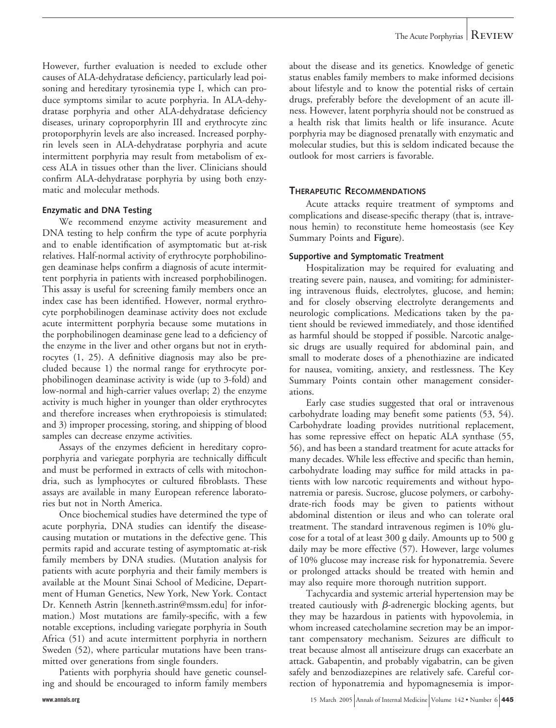However, further evaluation is needed to exclude other causes of ALA-dehydratase deficiency, particularly lead poisoning and hereditary tyrosinemia type I, which can produce symptoms similar to acute porphyria. In ALA-dehydratase porphyria and other ALA-dehydratase deficiency diseases, urinary coproporphyrin III and erythrocyte zinc protoporphyrin levels are also increased. Increased porphyrin levels seen in ALA-dehydratase porphyria and acute intermittent porphyria may result from metabolism of excess ALA in tissues other than the liver. Clinicians should confirm ALA-dehydratase porphyria by using both enzymatic and molecular methods.

# **Enzymatic and DNA Testing**

We recommend enzyme activity measurement and DNA testing to help confirm the type of acute porphyria and to enable identification of asymptomatic but at-risk relatives. Half-normal activity of erythrocyte porphobilinogen deaminase helps confirm a diagnosis of acute intermittent porphyria in patients with increased porphobilinogen. This assay is useful for screening family members once an index case has been identified. However, normal erythrocyte porphobilinogen deaminase activity does not exclude acute intermittent porphyria because some mutations in the porphobilinogen deaminase gene lead to a deficiency of the enzyme in the liver and other organs but not in erythrocytes (1, 25). A definitive diagnosis may also be precluded because 1) the normal range for erythrocyte porphobilinogen deaminase activity is wide (up to 3-fold) and low-normal and high-carrier values overlap; 2) the enzyme activity is much higher in younger than older erythrocytes and therefore increases when erythropoiesis is stimulated; and 3) improper processing, storing, and shipping of blood samples can decrease enzyme activities.

Assays of the enzymes deficient in hereditary coproporphyria and variegate porphyria are technically difficult and must be performed in extracts of cells with mitochondria, such as lymphocytes or cultured fibroblasts. These assays are available in many European reference laboratories but not in North America.

Once biochemical studies have determined the type of acute porphyria, DNA studies can identify the diseasecausing mutation or mutations in the defective gene. This permits rapid and accurate testing of asymptomatic at-risk family members by DNA studies. (Mutation analysis for patients with acute porphyria and their family members is available at the Mount Sinai School of Medicine, Department of Human Genetics, New York, New York. Contact Dr. Kenneth Astrin [kenneth.astrin@mssm.edu] for information.) Most mutations are family-specific, with a few notable exceptions, including variegate porphyria in South Africa (51) and acute intermittent porphyria in northern Sweden (52), where particular mutations have been transmitted over generations from single founders.

Patients with porphyria should have genetic counseling and should be encouraged to inform family members about the disease and its genetics. Knowledge of genetic status enables family members to make informed decisions about lifestyle and to know the potential risks of certain drugs, preferably before the development of an acute illness. However, latent porphyria should not be construed as a health risk that limits health or life insurance. Acute porphyria may be diagnosed prenatally with enzymatic and molecular studies, but this is seldom indicated because the outlook for most carriers is favorable.

# **THERAPEUTIC RECOMMENDATIONS**

Acute attacks require treatment of symptoms and complications and disease-specific therapy (that is, intravenous hemin) to reconstitute heme homeostasis (see Key Summary Points and **Figure**).

# **Supportive and Symptomatic Treatment**

Hospitalization may be required for evaluating and treating severe pain, nausea, and vomiting; for administering intravenous fluids, electrolytes, glucose, and hemin; and for closely observing electrolyte derangements and neurologic complications. Medications taken by the patient should be reviewed immediately, and those identified as harmful should be stopped if possible. Narcotic analgesic drugs are usually required for abdominal pain, and small to moderate doses of a phenothiazine are indicated for nausea, vomiting, anxiety, and restlessness. The Key Summary Points contain other management considerations.

Early case studies suggested that oral or intravenous carbohydrate loading may benefit some patients (53, 54). Carbohydrate loading provides nutritional replacement, has some repressive effect on hepatic ALA synthase (55, 56), and has been a standard treatment for acute attacks for many decades. While less effective and specific than hemin, carbohydrate loading may suffice for mild attacks in patients with low narcotic requirements and without hyponatremia or paresis. Sucrose, glucose polymers, or carbohydrate-rich foods may be given to patients without abdominal distention or ileus and who can tolerate oral treatment. The standard intravenous regimen is 10% glucose for a total of at least 300 g daily. Amounts up to 500 g daily may be more effective (57). However, large volumes of 10% glucose may increase risk for hyponatremia. Severe or prolonged attacks should be treated with hemin and may also require more thorough nutrition support.

Tachycardia and systemic arterial hypertension may be treated cautiously with  $\beta$ -adrenergic blocking agents, but they may be hazardous in patients with hypovolemia, in whom increased catecholamine secretion may be an important compensatory mechanism. Seizures are difficult to treat because almost all antiseizure drugs can exacerbate an attack. Gabapentin, and probably vigabatrin, can be given safely and benzodiazepines are relatively safe. Careful correction of hyponatremia and hypomagnesemia is impor-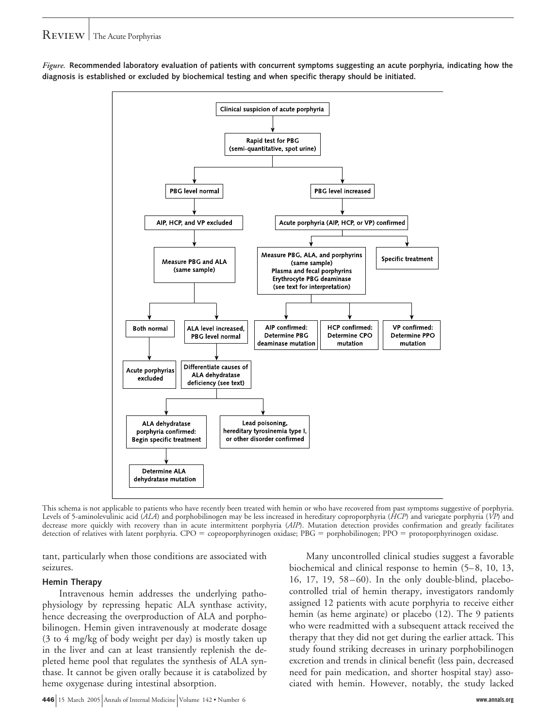# REVIEW | The Acute Porphyrias

*Figure.* **Recommended laboratory evaluation of patients with concurrent symptoms suggesting an acute porphyria, indicating how the diagnosis is established or excluded by biochemical testing and when specific therapy should be initiated.**



This schema is not applicable to patients who have recently been treated with hemin or who have recovered from past symptoms suggestive of porphyria. Levels of 5-aminolevulinic acid (*ALA*) and porphobilinogen may be less increased in hereditary coproporphyria (*HCP*) and variegate porphyria (*VP*) and decrease more quickly with recovery than in acute intermittent porphyria (AIP). Mutation detection provides confirmation and greatly facilitates detection of relatives with latent porphyria. CPO = coproporphyrinogen oxidase; PBG = porphobilinogen; PPO = protoporphyrinogen oxidase.

tant, particularly when those conditions are associated with seizures.

#### **Hemin Therapy**

Intravenous hemin addresses the underlying pathophysiology by repressing hepatic ALA synthase activity, hence decreasing the overproduction of ALA and porphobilinogen. Hemin given intravenously at moderate dosage (3 to 4 mg/kg of body weight per day) is mostly taken up in the liver and can at least transiently replenish the depleted heme pool that regulates the synthesis of ALA synthase. It cannot be given orally because it is catabolized by heme oxygenase during intestinal absorption.

Many uncontrolled clinical studies suggest a favorable biochemical and clinical response to hemin  $(5-8, 10, 13, 15)$ 16, 17, 19, 58–60). In the only double-blind, placebocontrolled trial of hemin therapy, investigators randomly assigned 12 patients with acute porphyria to receive either hemin (as heme arginate) or placebo (12). The 9 patients who were readmitted with a subsequent attack received the therapy that they did not get during the earlier attack. This study found striking decreases in urinary porphobilinogen excretion and trends in clinical benefit (less pain, decreased need for pain medication, and shorter hospital stay) associated with hemin. However, notably, the study lacked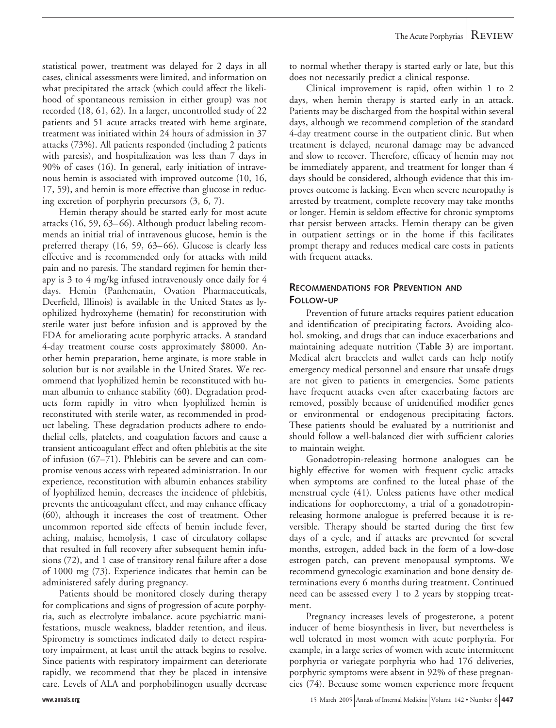statistical power, treatment was delayed for 2 days in all cases, clinical assessments were limited, and information on what precipitated the attack (which could affect the likelihood of spontaneous remission in either group) was not recorded (18, 61, 62). In a larger, uncontrolled study of 22 patients and 51 acute attacks treated with heme arginate, treatment was initiated within 24 hours of admission in 37 attacks (73%). All patients responded (including 2 patients with paresis), and hospitalization was less than 7 days in 90% of cases (16). In general, early initiation of intravenous hemin is associated with improved outcome (10, 16, 17, 59), and hemin is more effective than glucose in reducing excretion of porphyrin precursors (3, 6, 7).

Hemin therapy should be started early for most acute attacks (16, 59, 63– 66). Although product labeling recommends an initial trial of intravenous glucose, hemin is the preferred therapy (16, 59, 63-66). Glucose is clearly less effective and is recommended only for attacks with mild pain and no paresis. The standard regimen for hemin therapy is 3 to 4 mg/kg infused intravenously once daily for 4 days. Hemin (Panhematin, Ovation Pharmaceuticals, Deerfield, Illinois) is available in the United States as lyophilized hydroxyheme (hematin) for reconstitution with sterile water just before infusion and is approved by the FDA for ameliorating acute porphyric attacks. A standard 4-day treatment course costs approximately \$8000. Another hemin preparation, heme arginate, is more stable in solution but is not available in the United States. We recommend that lyophilized hemin be reconstituted with human albumin to enhance stability (60). Degradation products form rapidly in vitro when lyophilized hemin is reconstituted with sterile water, as recommended in product labeling. These degradation products adhere to endothelial cells, platelets, and coagulation factors and cause a transient anticoagulant effect and often phlebitis at the site of infusion (67–71). Phlebitis can be severe and can compromise venous access with repeated administration. In our experience, reconstitution with albumin enhances stability of lyophilized hemin, decreases the incidence of phlebitis, prevents the anticoagulant effect, and may enhance efficacy (60), although it increases the cost of treatment. Other uncommon reported side effects of hemin include fever, aching, malaise, hemolysis, 1 case of circulatory collapse that resulted in full recovery after subsequent hemin infusions (72), and 1 case of transitory renal failure after a dose of 1000 mg (73). Experience indicates that hemin can be administered safely during pregnancy.

Patients should be monitored closely during therapy for complications and signs of progression of acute porphyria, such as electrolyte imbalance, acute psychiatric manifestations, muscle weakness, bladder retention, and ileus. Spirometry is sometimes indicated daily to detect respiratory impairment, at least until the attack begins to resolve. Since patients with respiratory impairment can deteriorate rapidly, we recommend that they be placed in intensive care. Levels of ALA and porphobilinogen usually decrease

to normal whether therapy is started early or late, but this does not necessarily predict a clinical response.

Clinical improvement is rapid, often within 1 to 2 days, when hemin therapy is started early in an attack. Patients may be discharged from the hospital within several days, although we recommend completion of the standard 4-day treatment course in the outpatient clinic. But when treatment is delayed, neuronal damage may be advanced and slow to recover. Therefore, efficacy of hemin may not be immediately apparent, and treatment for longer than 4 days should be considered, although evidence that this improves outcome is lacking. Even when severe neuropathy is arrested by treatment, complete recovery may take months or longer. Hemin is seldom effective for chronic symptoms that persist between attacks. Hemin therapy can be given in outpatient settings or in the home if this facilitates prompt therapy and reduces medical care costs in patients with frequent attacks.

# **RECOMMENDATIONS FOR PREVENTION AND FOLLOW-UP**

Prevention of future attacks requires patient education and identification of precipitating factors. Avoiding alcohol, smoking, and drugs that can induce exacerbations and maintaining adequate nutrition (**Table 3**) are important. Medical alert bracelets and wallet cards can help notify emergency medical personnel and ensure that unsafe drugs are not given to patients in emergencies. Some patients have frequent attacks even after exacerbating factors are removed, possibly because of unidentified modifier genes or environmental or endogenous precipitating factors. These patients should be evaluated by a nutritionist and should follow a well-balanced diet with sufficient calories to maintain weight.

Gonadotropin-releasing hormone analogues can be highly effective for women with frequent cyclic attacks when symptoms are confined to the luteal phase of the menstrual cycle (41). Unless patients have other medical indications for oophorectomy, a trial of a gonadotropinreleasing hormone analogue is preferred because it is reversible. Therapy should be started during the first few days of a cycle, and if attacks are prevented for several months, estrogen, added back in the form of a low-dose estrogen patch, can prevent menopausal symptoms. We recommend gynecologic examination and bone density determinations every 6 months during treatment. Continued need can be assessed every 1 to 2 years by stopping treatment.

Pregnancy increases levels of progesterone, a potent inducer of heme biosynthesis in liver, but nevertheless is well tolerated in most women with acute porphyria. For example, in a large series of women with acute intermittent porphyria or variegate porphyria who had 176 deliveries, porphyric symptoms were absent in 92% of these pregnancies (74). Because some women experience more frequent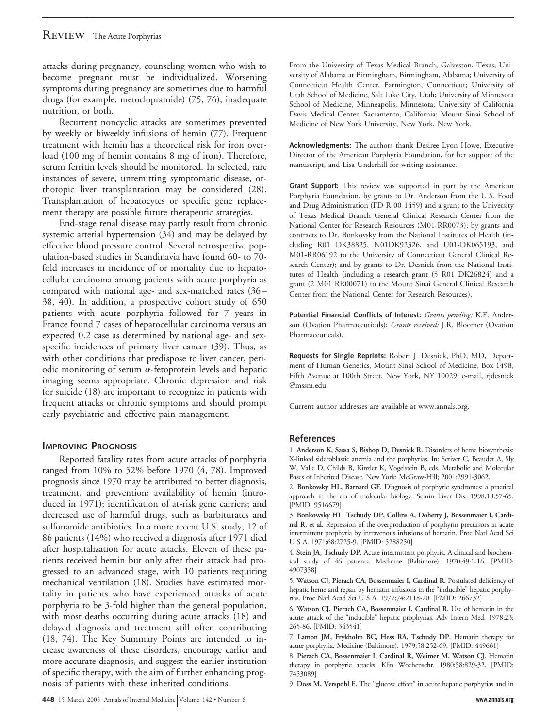# $\mathsf{REVIEW} \mid$  The Acute Porphyrias

attacks during pregnancy, counseling women who wish to become pregnant must be individualized. Worsening symptoms during pregnancy are sometimes due to harmful drugs (for example, metoclopramide) (75, 76), inadequate nutrition, or both.

Recurrent noncyclic attacks are sometimes prevented by weekly or biweekly infusions of hemin (77). Frequent treatment with hemin has a theoretical risk for iron overload (100 mg of hemin contains 8 mg of iron). Therefore, serum ferritin levels should be monitored. In selected, rare instances of severe, unremitting symptomatic disease, orthotopic liver transplantation may be considered (28). Transplantation of hepatocytes or specific gene replacement therapy are possible future therapeutic strategies.

End-stage renal disease may partly result from chronic systemic arterial hypertension (34) and may be delayed by effective blood pressure control. Several retrospective population-based studies in Scandinavia have found 60- to 70 fold increases in incidence of or mortality due to hepatocellular carcinoma among patients with acute porphyria as compared with national age- and sex-matched rates (36 – 38, 40). In addition, a prospective cohort study of 650 patients with acute porphyria followed for 7 years in France found 7 cases of hepatocellular carcinoma versus an expected 0.2 case as determined by national age- and sexspecific incidences of primary liver cancer (39). Thus, as with other conditions that predispose to liver cancer, periodic monitoring of serum  $\alpha$ -fetoprotein levels and hepatic imaging seems appropriate. Chronic depression and risk for suicide (18) are important to recognize in patients with frequent attacks or chronic symptoms and should prompt early psychiatric and effective pain management.

# **IMPROVING PROGNOSIS**

Reported fatality rates from acute attacks of porphyria ranged from 10% to 52% before 1970 (4, 78). Improved prognosis since 1970 may be attributed to better diagnosis, treatment, and prevention; availability of hemin (introduced in 1971); identification of at-risk gene carriers; and decreased use of harmful drugs, such as barbiturates and sulfonamide antibiotics. In a more recent U.S. study, 12 of 86 patients (14%) who received a diagnosis after 1971 died after hospitalization for acute attacks. Eleven of these patients received hemin but only after their attack had progressed to an advanced stage, with 10 patients requiring mechanical ventilation (18). Studies have estimated mortality in patients who have experienced attacks of acute porphyria to be 3-fold higher than the general population, with most deaths occurring during acute attacks (18) and delayed diagnosis and treatment still often contributing (18, 74). The Key Summary Points are intended to increase awareness of these disorders, encourage earlier and more accurate diagnosis, and suggest the earlier institution of specific therapy, with the aim of further enhancing prognosis of patients with these inherited conditions.

From the University of Texas Medical Branch, Galveston, Texas; University of Alabama at Birmingham, Birmingham, Alabama; University of Connecticut Health Center, Farmington, Connecticut; University of Utah School of Medicine, Salt Lake City, Utah; University of Minnesota School of Medicine, Minneapolis, Minnesota; University of California Davis Medical Center, Sacramento, California; Mount Sinai School of Medicine of New York University, New York, New York.

**Acknowledgments:** The authors thank Desiree Lyon Howe, Executive Director of the American Porphyria Foundation, for her support of the manuscript, and Lisa Underhill for writing assistance.

**Grant Support:** This review was supported in part by the American Porphyria Foundation, by grants to Dr. Anderson from the U.S. Food and Drug Administration (FD-R-00-1459) and a grant to the University of Texas Medical Branch General Clinical Research Center from the National Center for Research Resources (M01-RR0073); by grants and contracts to Dr. Bonkovsky from the National Institutes of Health (including R01 DK38825, N01DK92326, and U01-DK065193, and M01-RR06192 to the University of Connecticut General Clinical Research Center); and by grants to Dr. Desnick from the National Institutes of Health (including a research grant (5 R01 DK26824) and a grant (2 M01 RR00071) to the Mount Sinai General Clinical Research Center from the National Center for Research Resources).

**Potential Financial Conflicts of Interest:** *Grants pending:* K.E. Anderson (Ovation Pharmaceuticals); *Grants received:* J.R. Bloomer (Ovation Pharmaceuticals).

**Requests for Single Reprints:** Robert J. Desnick, PhD, MD, Department of Human Genetics, Mount Sinai School of Medicine, Box 1498, Fifth Avenue at 100th Street, New York, NY 10029; e-mail, rjdesnick @mssm.edu.

Current author addresses are available at www.annals.org.

# **References**

1. **Anderson K, Sassa S, Bishop D, Desnick R.** Disorders of heme biosynthesis: X-linked sideroblastic anemia and the porphyrias. In: Scriver C, Beaudet A, Sly W, Valle D, Childs B, Kinzler K, Vogelstein B, eds. Metabolic and Molecular Bases of Inherited Disease. New York: McGraw-Hill; 2001:2991-3062.

2. **Bonkovsky HL, Barnard GF.** Diagnosis of porphyric syndromes: a practical approach in the era of molecular biology. Semin Liver Dis. 1998;18:57-65. [PMID: 9516679]

3. **Bonkowsky HL, Tschudy DP, Collins A, Doherty J, Bossenmaier I, Cardinal R, et al.** Repression of the overproduction of porphyrin precursors in acute intermittent porphyria by intravenous infusions of hematin. Proc Natl Acad Sci U S A. 1971;68:2725-9. [PMID: 5288250]

4. **Stein JA, Tschudy DP.** Acute intermittent porphyria. A clinical and biochemical study of 46 patients. Medicine (Baltimore). 1970;49:1-16. [PMID: 4907358]

5. **Watson CJ, Pierach CA, Bossenmaier I, Cardinal R.** Postulated deficiency of hepatic heme and repair by hematin infusions in the "inducible" hepatic porphyrias. Proc Natl Acad Sci U S A. 1977;74:2118-20. [PMID: 266732]

6. **Watson CJ, Pierach CA, Bossenmaier I, Cardinal R.** Use of hematin in the acute attack of the "inducible" hepatic prophyrias. Adv Intern Med. 1978;23: 265-86. [PMID: 343541]

7. **Lamon JM, Frykholm BC, Hess RA, Tschudy DP.** Hematin therapy for acute porphyria. Medicine (Baltimore). 1979;58:252-69. [PMID: 449661]

8. **Pierach CA, Bossenmaier I, Cardinal R, Weimer M, Watson CJ.** Hematin therapy in porphyric attacks. Klin Wochenschr. 1980;58:829-32. [PMID: 7453089]

9. **Doss M, Verspohl F.** The "glucose effect" in acute hepatic porphyrias and in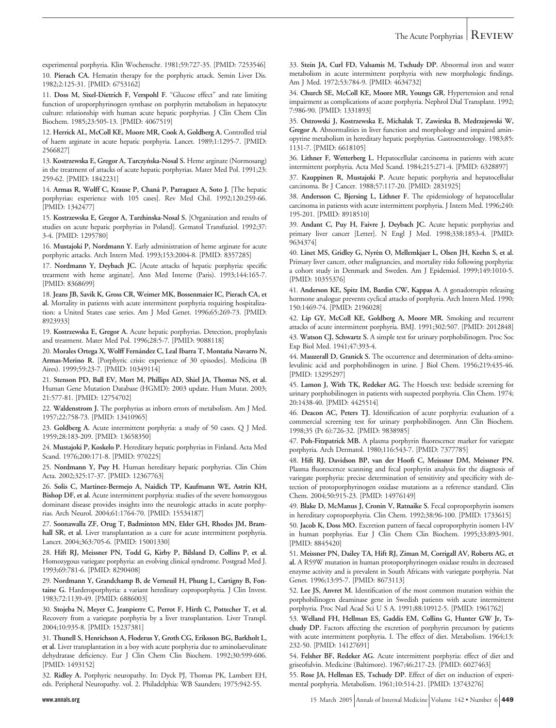experimental porphyria. Klin Wochenschr. 1981;59:727-35. [PMID: 7253546] 10. **Pierach CA.** Hematin therapy for the porphyric attack. Semin Liver Dis. 1982;2:125-31. [PMID: 6753162]

11. **Doss M, Sixel-Dietrich F, Verspohl F.** "Glucose effect" and rate limiting function of uroporphyrinogen synthase on porphyrin metabolism in hepatocyte culture: relationship with human acute hepatic porphyrias. J Clin Chem Clin Biochem. 1985;23:505-13. [PMID: 4067519]

12. **Herrick AL, McColl KE, Moore MR, Cook A, Goldberg A.** Controlled trial of haem arginate in acute hepatic porphyria. Lancet. 1989;1:1295-7. [PMID: 2566827]

13. Kostrzewska E, Gregor A, Tarczyńska-Nosal S. Heme arginate (Normosang) in the treatment of attacks of acute hepatic porphyrias. Mater Med Pol. 1991;23: 259-62. [PMID: 1842231]

14. **Armas R, Wolff C, Krause P, Chana´ P, Parraguez A, Soto J.** [The hepatic porphyrias: experience with 105 cases]. Rev Med Chil. 1992;120:259-66. [PMID: 1342477]

15. **Kostrzewska E, Gregor A, Tarzhinska-Nosal S.** [Organization and results of studies on acute hepatic porphyrias in Poland]. Gematol Transfuziol. 1992;37: 3-4. [PMID: 1295780]

16. **Mustajoki P, Nordmann Y.** Early administration of heme arginate for acute porphyric attacks. Arch Intern Med. 1993;153:2004-8. [PMID: 8357285]

17. **Nordmann Y, Deybach JC.** [Acute attacks of hepatic porphyria: specific treatment with heme arginate]. Ann Med Interne (Paris). 1993;144:165-7. [PMID: 8368699]

18. **Jeans JB, Savik K, Gross CR, Weimer MK, Bossenmaier IC, Pierach CA, et al.** Mortality in patients with acute intermittent porphyria requiring hospitalization: a United States case series. Am J Med Genet. 1996;65:269-73. [PMID: 8923933]

19. **Kostrzewska E, Gregor A.** Acute hepatic porphyrias. Detection, prophylaxis and treatment. Mater Med Pol. 1996;28:5-7. [PMID: 9088118]

20. Morales Ortega X, Wolff Fernández C, Leal Ibarra T, Montaña Navarro N, **Armas-Merino R.** [Porphyric crisis: experience of 30 episodes]. Medicina (B Aires). 1999;59:23-7. [PMID: 10349114]

21. **Stenson PD, Ball EV, Mort M, Phillips AD, Shiel JA, Thomas NS, et al.** Human Gene Mutation Database (HGMD): 2003 update. Hum Mutat. 2003; 21:577-81. [PMID: 12754702]

22. **Waldenstrom J.** The porphyrias as inborn errors of metabolism. Am J Med. 1957;22:758-73. [PMID: 13410965]

23. **Goldberg A.** Acute intermittent porphyria: a study of 50 cases. Q J Med. 1959;28:183-209. [PMID: 13658350]

24. **Mustajoki P, Koskelo P.** Hereditary hepatic porphyrias in Finland. Acta Med Scand. 1976;200:171-8. [PMID: 970225]

25. **Nordmann Y, Puy H.** Human hereditary hepatic porphyrias. Clin Chim Acta. 2002;325:17-37. [PMID: 12367763]

26. **Solis C, Martinez-Bermejo A, Naidich TP, Kaufmann WE, Astrin KH, Bishop DF, et al.** Acute intermittent porphyria: studies of the severe homozygous dominant disease provides insights into the neurologic attacks in acute porphyrias. Arch Neurol. 2004;61:1764-70. [PMID: 15534187]

27. **Soonawalla ZF, Orug T, Badminton MN, Elder GH, Rhodes JM, Bramhall SR, et al.** Liver transplantation as a cure for acute intermittent porphyria. Lancet. 2004;363:705-6. [PMID: 15001330]

28. **Hift RJ, Meissner PN, Todd G, Kirby P, Bilsland D, Collins P, et al.** Homozygous variegate porphyria: an evolving clinical syndrome. Postgrad Med J. 1993;69:781-6. [PMID: 8290408]

29. **Nordmann Y, Grandchamp B, de Verneuil H, Phung L, Cartigny B, Fontaine G.** Harderoporphyria: a variant hereditary coproporphyria. J Clin Invest. 1983;72:1139-49. [PMID: 6886003]

30. **Stojeba N, Meyer C, Jeanpierre C, Perrot F, Hirth C, Pottecher T, et al.** Recovery from a variegate porphyria by a liver transplantation. Liver Transpl. 2004;10:935-8. [PMID: 15237381]

31. **Thunell S, Henrichson A, Floderus Y, Groth CG, Eriksson BG, Barkholt L, et al.** Liver transplantation in a boy with acute porphyria due to aminolaevulinate dehydratase deficiency. Eur J Clin Chem Clin Biochem. 1992;30:599-606. [PMID: 1493152]

32. **Ridley A.** Porphyric neuropathy. In: Dyck PJ, Thomas PK, Lambert EH, eds. Peripheral Neuropathy. vol. 2. Philadelphia: WB Saunders; 1975:942-55.

33. **Stein JA, Curl FD, Valsamis M, Tschudy DP.** Abnormal iron and water metabolism in acute intermittent porphyria with new morphologic findings. Am J Med. 1972;53:784-9. [PMID: 4634732]

34. **Church SE, McColl KE, Moore MR, Youngs GR.** Hypertension and renal impairment as complications of acute porphyria. Nephrol Dial Transplant. 1992; 7:986-90. [PMID: 1331893]

35. **Ostrowski J, Kostrzewska E, Michalak T, Zawirska B, Medrzejewski W, Gregor A.** Abnormalities in liver function and morphology and impaired aminopyrine metabolism in hereditary hepatic porphyrias. Gastroenterology. 1983;85: 1131-7. [PMID: 6618105]

36. **Lithner F, Wetterberg L.** Hepatocellular carcinoma in patients with acute intermittent porphyria. Acta Med Scand. 1984;215:271-4. [PMID: 6328897]

37. **Kauppinen R, Mustajoki P.** Acute hepatic porphyria and hepatocellular carcinoma. Br J Cancer. 1988;57:117-20. [PMID: 2831925]

38. **Andersson C, Bjersing L, Lithner F.** The epidemiology of hepatocellular carcinoma in patients with acute intermittent porphyria. J Intern Med. 1996;240: 195-201. [PMID: 8918510]

39. **Andant C, Puy H, Faivre J, Deybach JC.** Acute hepatic porphyrias and primary liver cancer [Letter]. N Engl J Med. 1998;338:1853-4. [PMID: 9634374]

40. Linet MS, Gridley G, Nyrén O, Mellemkjaer L, Olsen JH, Keehn S, et al. Primary liver cancer, other malignancies, and mortality risks following porphyria: a cohort study in Denmark and Sweden. Am J Epidemiol. 1999;149:1010-5. [PMID: 10355376]

41. **Anderson KE, Spitz IM, Bardin CW, Kappas A.** A gonadotropin releasing hormone analogue prevents cyclical attacks of porphyria. Arch Intern Med. 1990; 150:1469-74. [PMID: 2196028]

42. **Lip GY, McColl KE, Goldberg A, Moore MR.** Smoking and recurrent attacks of acute intermittent porphyria. BMJ. 1991;302:507. [PMID: 2012848] 43. **Watson CJ, Schwartz S.** A simple test for urinary porphobilinogen. Proc Soc Exp Biol Med. 1941;47:393-4.

44. **Mauzerall D, Granick S.** The occurrence and determination of delta-aminolevulinic acid and porphobilinogen in urine. J Biol Chem. 1956;219:435-46. [PMID: 13295297]

45. **Lamon J, With TK, Redeker AG.** The Hoesch test: bedside screening for urinary porphobilinogen in patients with suspected porphyria. Clin Chem. 1974; 20:1438-40. [PMID: 4425514]

46. **Deacon AC, Peters TJ.** Identification of acute porphyria: evaluation of a commercial screening test for urinary porphobilinogen. Ann Clin Biochem. 1998;35 (Pt 6):726-32. [PMID: 9838985]

47. **Poh-Fitzpatrick MB.** A plasma porphyrin fluorescence marker for variegate porphyria. Arch Dermatol. 1980;116:543-7. [PMID: 7377785]

48. **Hift RJ, Davidson BP, van der Hooft C, Meissner DM, Meissner PN.** Plasma fluorescence scanning and fecal porphyrin analysis for the diagnosis of variegate porphyria: precise determination of sensitivity and specificity with detection of protoporphyrinogen oxidase mutations as a reference standard. Clin Chem. 2004;50:915-23. [PMID: 14976149]

49. **Blake D, McManus J, Cronin V, Ratnaike S.** Fecal coproporphyrin isomers in hereditary coproporphyria. Clin Chem. 1992;38:96-100. [PMID: 1733615]

50. **Jacob K, Doss MO.** Excretion pattern of faecal coproporphyrin isomers I-IV in human porphyrias. Eur J Clin Chem Clin Biochem. 1995;33:893-901. [PMID: 8845420]

51. **Meissner PN, Dailey TA, Hift RJ, Ziman M, Corrigall AV, Roberts AG, et al.** A R59W mutation in human protoporphyrinogen oxidase results in decreased enzyme activity and is prevalent in South Africans with variegate porphyria. Nat Genet. 1996;13:95-7. [PMID: 8673113]

52. **Lee JS, Anvret M.** Identification of the most common mutation within the porphobilinogen deaminase gene in Swedish patients with acute intermittent porphyria. Proc Natl Acad Sci U S A. 1991;88:10912-5. [PMID: 1961762]

53. **Welland FH, Hellman ES, Gaddis EM, Collins G, Hunter GW Jr, Tschudy DP.** Factors affecting the excretion of porphyrin precursors by patients with acute intermittent porphyria. I. The effect of diet. Metabolism. 1964;13: 232-50. [PMID: 14127691]

54. **Felsher BF, Redeker AG.** Acute intermittent porphyria: effect of diet and griseofulvin. Medicine (Baltimore). 1967;46:217-23. [PMID: 6027463]

55. **Rose JA, Hellman ES, Tschudy DP.** Effect of diet on induction of experimental porphyria. Metabolism. 1961;10:514-21. [PMID: 13743276]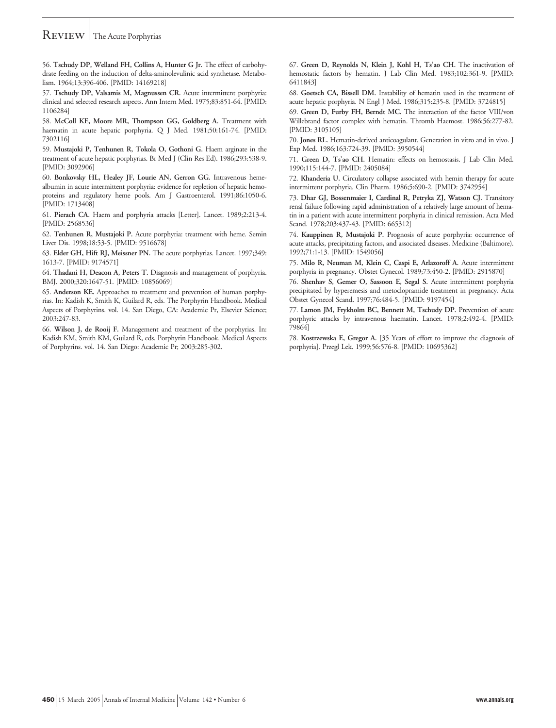# REVIEW | The Acute Porphyrias

56. **Tschudy DP, Welland FH, Collins A, Hunter G Jr.** The effect of carbohydrate feeding on the induction of delta-aminolevulinic acid synthetase. Metabolism. 1964;13:396-406. [PMID: 14169218]

57. **Tschudy DP, Valsamis M, Magnussen CR.** Acute intermittent porphyria: clinical and selected research aspects. Ann Intern Med. 1975;83:851-64. [PMID: 1106284]

58. **McColl KE, Moore MR, Thompson GG, Goldberg A.** Treatment with haematin in acute hepatic porphyria. Q J Med. 1981;50:161-74. [PMID: 7302116]

59. **Mustajoki P, Tenhunen R, Tokola O, Gothoni G.** Haem arginate in the treatment of acute hepatic porphyrias. Br Med J (Clin Res Ed). 1986;293:538-9. [PMID: 3092906]

60. **Bonkovsky HL, Healey JF, Lourie AN, Gerron GG.** Intravenous hemealbumin in acute intermittent porphyria: evidence for repletion of hepatic hemoproteins and regulatory heme pools. Am J Gastroenterol. 1991;86:1050-6. [PMID: 1713408]

61. **Pierach CA.** Haem and porphyria attacks [Letter]. Lancet. 1989;2:213-4. [PMID: 2568536]

62. **Tenhunen R, Mustajoki P.** Acute porphyria: treatment with heme. Semin Liver Dis. 1998;18:53-5. [PMID: 9516678]

63. **Elder GH, Hift RJ, Meissner PN.** The acute porphyrias. Lancet. 1997;349: 1613-7. [PMID: 9174571]

64. **Thadani H, Deacon A, Peters T.** Diagnosis and management of porphyria. BMJ. 2000;320:1647-51. [PMID: 10856069]

65. **Anderson KE.** Approaches to treatment and prevention of human porphyrias. In: Kadish K, Smith K, Guilard R, eds. The Porphyrin Handbook. Medical Aspects of Porphyrins. vol. 14. San Diego, CA: Academic Pr, Elsevier Science; 2003:247-83.

66. **Wilson J, de Rooij F.** Management and treatment of the porphyrias. In: Kadish KM, Smith KM, Guilard R, eds. Porphyrin Handbook. Medical Aspects of Porphyrins. vol. 14. San Diego: Academic Pr; 2003:285-302.

67. **Green D, Reynolds N, Klein J, Kohl H, Ts'ao CH.** The inactivation of hemostatic factors by hematin. J Lab Clin Med. 1983;102:361-9. [PMID: 6411843]

68. **Goetsch CA, Bissell DM.** Instability of hematin used in the treatment of acute hepatic porphyria. N Engl J Med. 1986;315:235-8. [PMID: 3724815]

69. **Green D, Furby FH, Berndt MC.** The interaction of the factor VIII/von Willebrand factor complex with hematin. Thromb Haemost. 1986;56:277-82. [PMID: 3105105]

70. **Jones RL.** Hematin-derived anticoagulant. Generation in vitro and in vivo. J Exp Med. 1986;163:724-39. [PMID: 3950544]

71. **Green D, Ts'ao CH.** Hematin: effects on hemostasis. J Lab Clin Med. 1990;115:144-7. [PMID: 2405084]

72. **Khanderia U.** Circulatory collapse associated with hemin therapy for acute intermittent porphyria. Clin Pharm. 1986;5:690-2. [PMID: 3742954]

73. **Dhar GJ, Bossenmaier I, Cardinal R, Petryka ZJ, Watson CJ.** Transitory renal failure following rapid administration of a relatively large amount of hematin in a patient with acute intermittent porphyria in clinical remission. Acta Med Scand. 1978;203:437-43. [PMID: 665312]

74. **Kauppinen R, Mustajoki P.** Prognosis of acute porphyria: occurrence of acute attacks, precipitating factors, and associated diseases. Medicine (Baltimore). 1992;71:1-13. [PMID: 1549056]

75. **Milo R, Neuman M, Klein C, Caspi E, Arlazoroff A.** Acute intermittent porphyria in pregnancy. Obstet Gynecol. 1989;73:450-2. [PMID: 2915870]

76. **Shenhav S, Gemer O, Sassoon E, Segal S.** Acute intermittent porphyria precipitated by hyperemesis and metoclopramide treatment in pregnancy. Acta Obstet Gynecol Scand. 1997;76:484-5. [PMID: 9197454]

77. **Lamon JM, Frykholm BC, Bennett M, Tschudy DP.** Prevention of acute porphyric attacks by intravenous haematin. Lancet. 1978;2:492-4. [PMID: 79864]

78. **Kostrzewska E, Gregor A.** [35 Years of effort to improve the diagnosis of porphyria]. Przegl Lek. 1999;56:576-8. [PMID: 10695362]